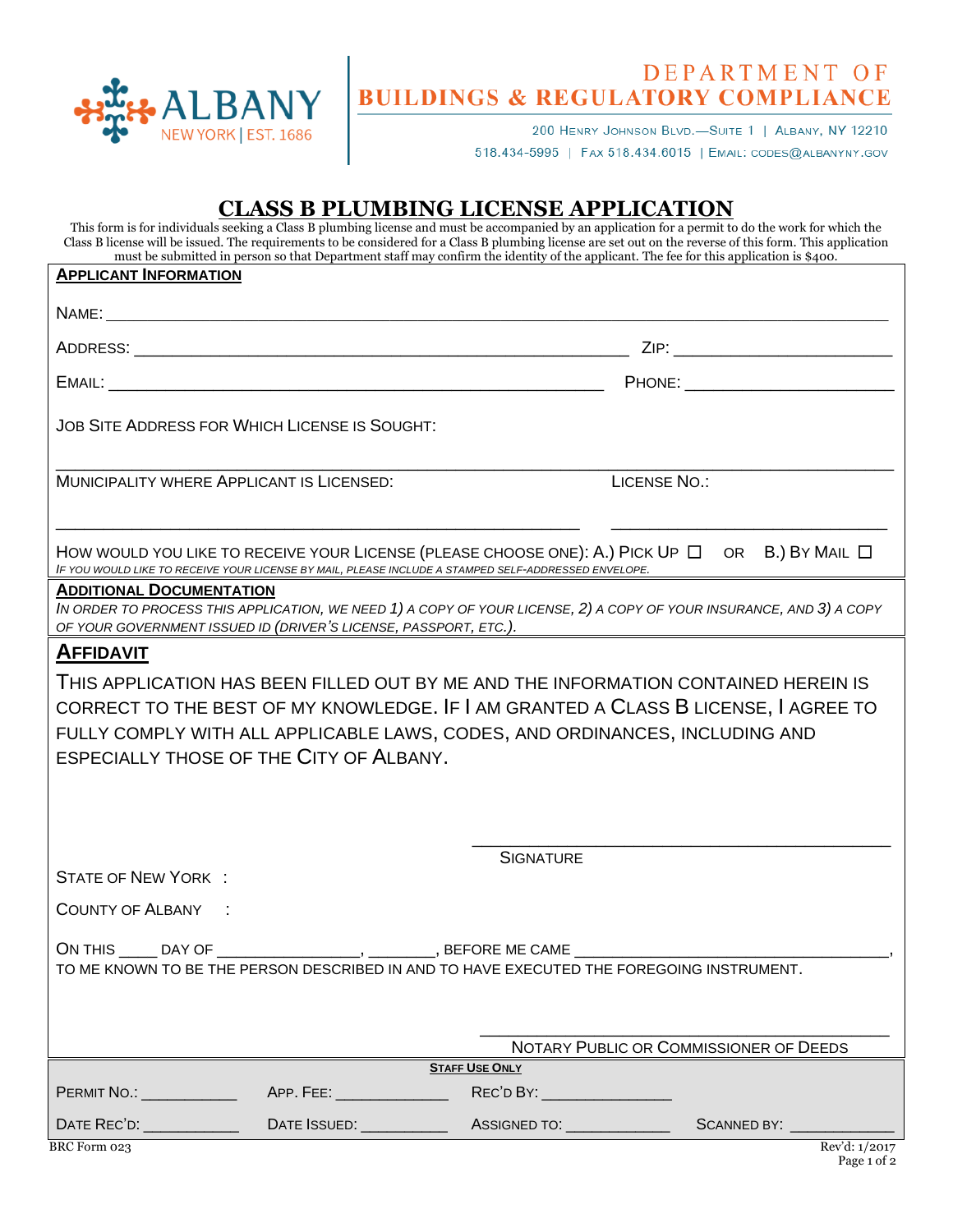

## DEPARTMENT OF

200 HENRY JOHNSON BLVD.-SUITE 1 | ALBANY, NY 12210 518.434-5995 | FAX 518.434.6015 | EMAIL: CODES@ALBANYNY.GOV

## **CLASS B PLUMBING LICENSE APPLICATION**

This form is for individuals seeking a Class B plumbing license and must be accompanied by an application for a permit to do the work for which the Class B license will be issued. The requirements to be considered for a Class B plumbing license are set out on the reverse of this form. This application must be submitted in person so that Department staff may confirm the identity of the applicant. The fee for this application is \$400.

| <b>APPLICANT INFORMATION</b>                                                                                                                                                                                               |                             |                               |              |               |  |
|----------------------------------------------------------------------------------------------------------------------------------------------------------------------------------------------------------------------------|-----------------------------|-------------------------------|--------------|---------------|--|
|                                                                                                                                                                                                                            |                             |                               |              |               |  |
|                                                                                                                                                                                                                            |                             |                               |              |               |  |
|                                                                                                                                                                                                                            |                             |                               |              |               |  |
| JOB SITE ADDRESS FOR WHICH LICENSE IS SOUGHT:                                                                                                                                                                              |                             |                               |              |               |  |
| MUNICIPALITY WHERE APPLICANT IS LICENSED:                                                                                                                                                                                  |                             |                               | LICENSE NO.: |               |  |
| HOW WOULD YOU LIKE TO RECEIVE YOUR LICENSE (PLEASE CHOOSE ONE): A.) PICK UP $\Box$ OR B.) BY MAIL $\Box$<br>IF YOU WOULD LIKE TO RECEIVE YOUR LICENSE BY MAIL, PLEASE INCLUDE A STAMPED SELF-ADDRESSED ENVELOPE.           |                             |                               |              |               |  |
| <b>ADDITIONAL DOCUMENTATION</b><br>IN ORDER TO PROCESS THIS APPLICATION, WE NEED 1) A COPY OF YOUR LICENSE, 2) A COPY OF YOUR INSURANCE, AND 3) A COPY<br>OF YOUR GOVERNMENT ISSUED ID (DRIVER'S LICENSE, PASSPORT, ETC.). |                             |                               |              |               |  |
| <b>AFFIDAVIT</b>                                                                                                                                                                                                           |                             |                               |              |               |  |
| THIS APPLICATION HAS BEEN FILLED OUT BY ME AND THE INFORMATION CONTAINED HEREIN IS                                                                                                                                         |                             |                               |              |               |  |
| CORRECT TO THE BEST OF MY KNOWLEDGE. IF I AM GRANTED A CLASS B LICENSE, I AGREE TO                                                                                                                                         |                             |                               |              |               |  |
| FULLY COMPLY WITH ALL APPLICABLE LAWS, CODES, AND ORDINANCES, INCLUDING AND                                                                                                                                                |                             |                               |              |               |  |
| <b>ESPECIALLY THOSE OF THE CITY OF ALBANY.</b>                                                                                                                                                                             |                             |                               |              |               |  |
|                                                                                                                                                                                                                            |                             |                               |              |               |  |
|                                                                                                                                                                                                                            |                             |                               |              |               |  |
|                                                                                                                                                                                                                            |                             |                               |              |               |  |
| <b>SIGNATURE</b>                                                                                                                                                                                                           |                             |                               |              |               |  |
| <b>STATE OF NEW YORK:</b>                                                                                                                                                                                                  |                             |                               |              |               |  |
| <b>COUNTY OF ALBANY :</b>                                                                                                                                                                                                  |                             |                               |              |               |  |
|                                                                                                                                                                                                                            |                             |                               |              |               |  |
| ON THIS _____ DAY OF _____________________, _________, BEFORE ME CAME ___________<br>TO ME KNOWN TO BE THE PERSON DESCRIBED IN AND TO HAVE EXECUTED THE FOREGOING INSTRUMENT.                                              |                             |                               |              |               |  |
|                                                                                                                                                                                                                            |                             |                               |              |               |  |
|                                                                                                                                                                                                                            |                             |                               |              |               |  |
| NOTARY PUBLIC OR COMMISSIONER OF DEEDS                                                                                                                                                                                     |                             |                               |              |               |  |
| <b>STAFF USE ONLY</b>                                                                                                                                                                                                      |                             |                               |              |               |  |
| <b>PERMIT NO.: _______________</b>                                                                                                                                                                                         | APP. FEE: _________________ | REC'D BY: ___________________ |              |               |  |
|                                                                                                                                                                                                                            |                             |                               |              |               |  |
| BRC Form 023                                                                                                                                                                                                               |                             |                               |              | Rev'd: 1/2017 |  |